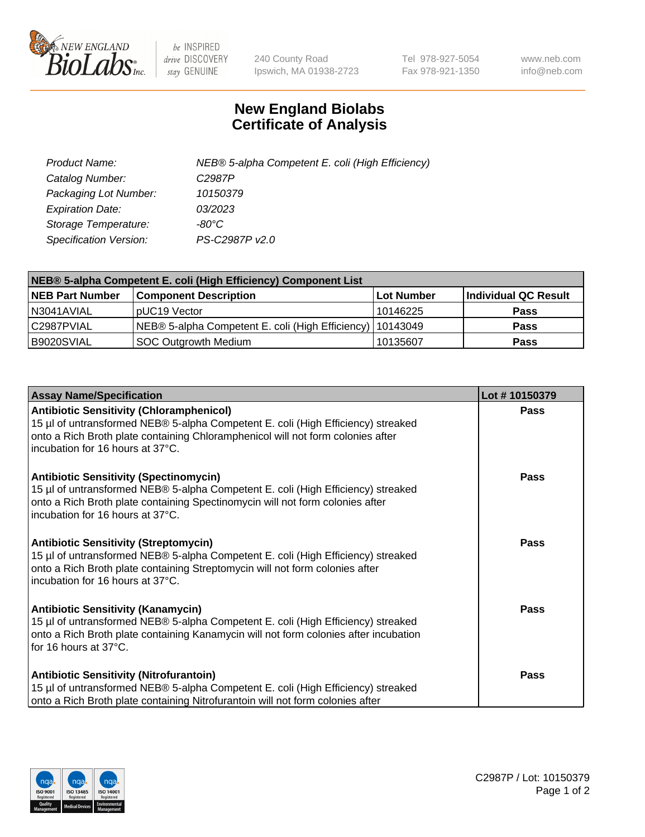

 $be$  INSPIRED drive DISCOVERY stay GENUINE

240 County Road Ipswich, MA 01938-2723 Tel 978-927-5054 Fax 978-921-1350 www.neb.com info@neb.com

## **New England Biolabs Certificate of Analysis**

| Product Name:                 | NEB® 5-alpha Competent E. coli (High Efficiency) |
|-------------------------------|--------------------------------------------------|
| Catalog Number:               | C <sub>2987</sub> P                              |
| Packaging Lot Number:         | 10150379                                         |
| <b>Expiration Date:</b>       | 03/2023                                          |
| Storage Temperature:          | -80°C                                            |
| <b>Specification Version:</b> | PS-C2987P v2.0                                   |

| NEB® 5-alpha Competent E. coli (High Efficiency) Component List |                                                             |            |                      |  |
|-----------------------------------------------------------------|-------------------------------------------------------------|------------|----------------------|--|
| <b>NEB Part Number</b>                                          | <b>Component Description</b>                                | Lot Number | Individual QC Result |  |
| N3041AVIAL                                                      | pUC19 Vector                                                | 10146225   | <b>Pass</b>          |  |
| C2987PVIAL                                                      | NEB® 5-alpha Competent E. coli (High Efficiency)   10143049 |            | <b>Pass</b>          |  |
| B9020SVIAL                                                      | SOC Outgrowth Medium                                        | 10135607   | <b>Pass</b>          |  |

| <b>Assay Name/Specification</b>                                                                                                                                                                                                                            | Lot #10150379 |
|------------------------------------------------------------------------------------------------------------------------------------------------------------------------------------------------------------------------------------------------------------|---------------|
| <b>Antibiotic Sensitivity (Chloramphenicol)</b><br>15 µl of untransformed NEB® 5-alpha Competent E. coli (High Efficiency) streaked<br>onto a Rich Broth plate containing Chloramphenicol will not form colonies after<br>incubation for 16 hours at 37°C. | Pass          |
| <b>Antibiotic Sensitivity (Spectinomycin)</b><br>15 µl of untransformed NEB® 5-alpha Competent E. coli (High Efficiency) streaked<br>onto a Rich Broth plate containing Spectinomycin will not form colonies after<br>incubation for 16 hours at 37°C.     | <b>Pass</b>   |
| <b>Antibiotic Sensitivity (Streptomycin)</b><br>15 µl of untransformed NEB® 5-alpha Competent E. coli (High Efficiency) streaked<br>onto a Rich Broth plate containing Streptomycin will not form colonies after<br>incubation for 16 hours at 37°C.       | Pass          |
| <b>Antibiotic Sensitivity (Kanamycin)</b><br>15 µl of untransformed NEB® 5-alpha Competent E. coli (High Efficiency) streaked<br>onto a Rich Broth plate containing Kanamycin will not form colonies after incubation<br>for 16 hours at 37°C.             | Pass          |
| <b>Antibiotic Sensitivity (Nitrofurantoin)</b><br>15 µl of untransformed NEB® 5-alpha Competent E. coli (High Efficiency) streaked<br>onto a Rich Broth plate containing Nitrofurantoin will not form colonies after                                       | Pass          |